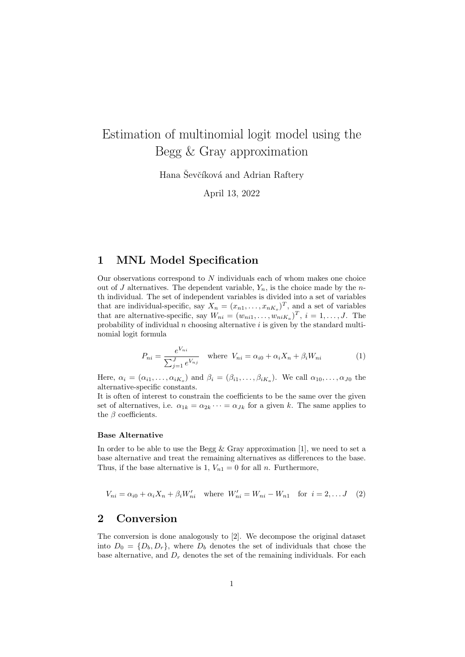# Estimation of multinomial logit model using the Begg & Gray approximation

Hana Ševčíková and Adrian Raftery

April 13, 2022

### 1 MNL Model Specification

Our observations correspond to  $N$  individuals each of whom makes one choice out of J alternatives. The dependent variable,  $Y_n$ , is the choice made by the nth individual. The set of independent variables is divided into a set of variables that are individual-specific, say  $X_n = (x_{n1}, \ldots, x_{nK_o})^T$ , and a set of variables that are alternative-specific, say  $W_{ni} = (w_{ni1}, \ldots, w_{niK_a})^T$ ,  $i = 1, \ldots, J$ . The probability of individual  $n$  choosing alternative  $i$  is given by the standard multinomial logit formula

$$
P_{ni} = \frac{e^{V_{ni}}}{\sum_{j=1}^{J} e^{V_{nj}}} \quad \text{where} \quad V_{ni} = \alpha_{i0} + \alpha_i X_n + \beta_i W_{ni} \tag{1}
$$

Here,  $\alpha_i = (\alpha_{i1}, \ldots, \alpha_{iK_o})$  and  $\beta_i = (\beta_{i1}, \ldots, \beta_{iK_a})$ . We call  $\alpha_{10}, \ldots, \alpha_{J0}$  the alternative-specific constants.

It is often of interest to constrain the coefficients to be the same over the given set of alternatives, i.e.  $\alpha_{1k} = \alpha_{2k} \cdots = \alpha_{Jk}$  for a given k. The same applies to the  $\beta$  coefficients.

#### Base Alternative

In order to be able to use the Begg  $\&$  Gray approximation [1], we need to set a base alternative and treat the remaining alternatives as differences to the base. Thus, if the base alternative is 1,  $V_{n1} = 0$  for all n. Furthermore,

 $V_{ni} = \alpha_{i0} + \alpha_i X_n + \beta_i W'_{ni}$  where  $W'_{ni} = W_{ni} - W_{n1}$  for  $i = 2, ..., J$  (2)

#### 2 Conversion

The conversion is done analogously to [2]. We decompose the original dataset into  $D_0 = \{D_b, D_r\}$ , where  $D_b$  denotes the set of individuals that chose the base alternative, and  $D_r$  denotes the set of the remaining individuals. For each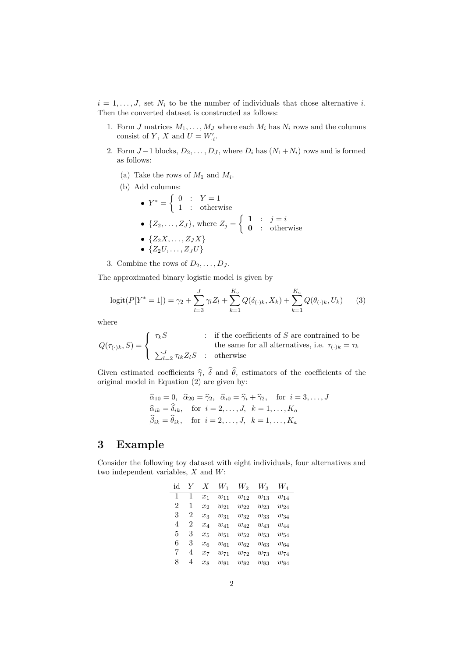$i = 1, \ldots, J$ , set  $N_i$  to be the number of individuals that chose alternative i. Then the converted dataset is constructed as follows:

- 1. Form  $J$  matrices  $M_1, \ldots, M_J$  where each  $M_i$  has  $N_i$  rows and the columns consist of Y, X and  $U = W'_{i}$ .
- 2. Form  $J-1$  blocks,  $D_2, \ldots, D_J$ , where  $D_i$  has  $(N_1+N_i)$  rows and is formed as follows:
	- (a) Take the rows of  $M_1$  and  $M_i$ .
	- (b) Add columns:

\n- \n
$$
Y^* = \n \begin{cases}\n 0 & \text{if } Y = 1 \\
 1 & \text{otherwise}\n \end{cases}
$$
\n
\n- \n
$$
\{Z_2, \ldots, Z_J\}, \text{ where } Z_j = \n \begin{cases}\n 1 & \text{if } j = i \\
 0 & \text{otherwise}\n \end{cases}
$$
\n
\n- \n
$$
\{Z_2X, \ldots, Z_JX\}
$$
\n
\n- \n
$$
\{Z_2U, \ldots, Z_JU\}
$$
\n
\n

3. Combine the rows of  $D_2, \ldots, D_J$ .

The approximated binary logistic model is given by

$$
logit(P[Y^* = 1]) = \gamma_2 + \sum_{l=3}^{J} \gamma_l Z_l + \sum_{k=1}^{K_o} Q(\delta_{(\cdot)k}, X_k) + \sum_{k=1}^{K_a} Q(\theta_{(\cdot)k}, U_k)
$$
(3)

where

$$
Q(\tau_{(\cdot)k}, S) = \begin{cases} \tau_k S & : \text{if the coefficients of } S \text{ are contrained to be} \\ \sum_{l=2}^J \tau_{lk} Z_l S & : \text{otherwise} \end{cases}
$$

Given estimated coefficients  $\hat{\gamma}$ ,  $\hat{\delta}$  and  $\hat{\theta}$ , estimators of the coefficients of the original model in Equation (2) are given by:

$$
\begin{aligned}\n\widehat{\alpha}_{10} &= 0, \quad \widehat{\alpha}_{20} = \widehat{\gamma}_2, \quad \widehat{\alpha}_{i0} = \widehat{\gamma}_i + \widehat{\gamma}_2, \quad \text{for } i = 3, \dots, J \\
\widehat{\alpha}_{ik} &= \widehat{\delta}_{ik}, \quad \text{for } i = 2, \dots, J, \quad k = 1, \dots, K_o \\
\widehat{\beta}_{ik} &= \widehat{\theta}_{ik}, \quad \text{for } i = 2, \dots, J, \quad k = 1, \dots, K_a\n\end{aligned}
$$

## 3 Example

Consider the following toy dataset with eight individuals, four alternatives and two independent variables,  $X$  and  $W$ :

| id | V | X       | $W_1$    | $W_2$    | $W_3$    | $W_4$    |
|----|---|---------|----------|----------|----------|----------|
| 1  |   | $x_1$   | $w_{11}$ | $w_{12}$ | $w_{13}$ | $w_{14}$ |
| 2  | 1 | $x_2$   | $w_{21}$ | $w_{22}$ | $w_{23}$ | $w_{24}$ |
| 3  | 2 | $x_3$   | $w_{31}$ | $w_{32}$ | $w_{33}$ | $w_{34}$ |
| 4  | 2 | $x_4$   | $w_{41}$ | $w_{42}$ | $w_{43}$ | $w_{44}$ |
| 5  | 3 | $x_{5}$ | $w_{51}$ | $w_{52}$ | $w_{53}$ | $w_{54}$ |
| 6  | 3 | $x_6$   | $w_{61}$ | $w_{62}$ | $w_{63}$ | $w_{64}$ |
| 7  | 4 | $x_7$   | $w_{71}$ | $w_{72}$ | $w_{73}$ | $w_{74}$ |
| 8  | 4 | $x_8$   | $w_{81}$ | $w_{82}$ | $w_{83}$ | $w_{84}$ |